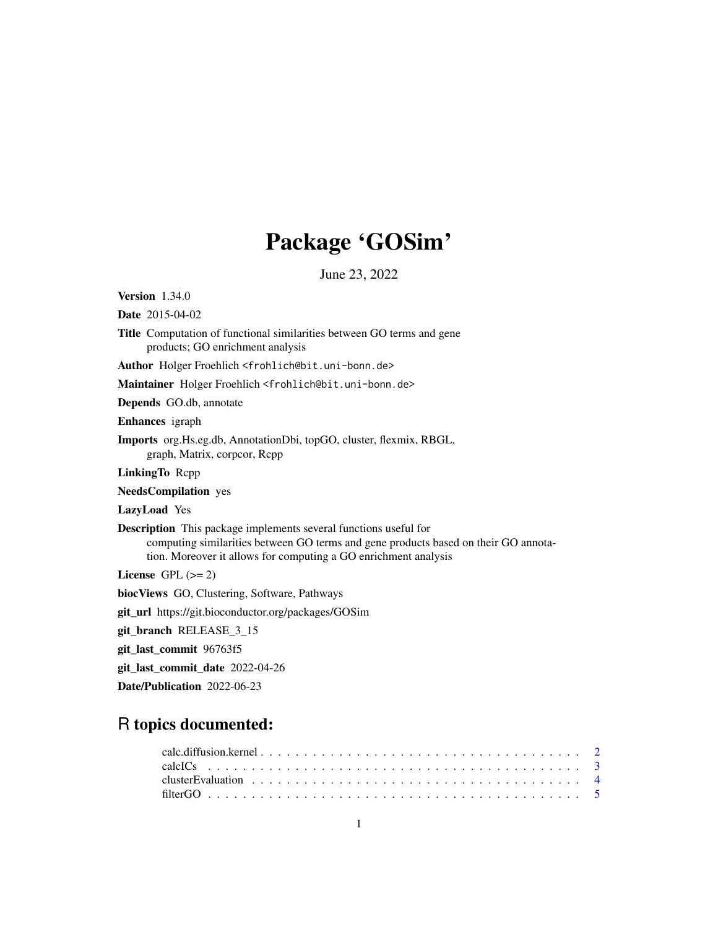# Package 'GOSim'

June 23, 2022

Version 1.34.0

Date 2015-04-02

Title Computation of functional similarities between GO terms and gene products; GO enrichment analysis

Author Holger Froehlich <frohlich@bit.uni-bonn.de>

Maintainer Holger Froehlich <frohlich@bit.uni-bonn.de>

Depends GO.db, annotate

Enhances igraph

Imports org.Hs.eg.db, AnnotationDbi, topGO, cluster, flexmix, RBGL, graph, Matrix, corpcor, Rcpp

LinkingTo Rcpp

NeedsCompilation yes

LazyLoad Yes

Description This package implements several functions useful for computing similarities between GO terms and gene products based on their GO annotation. Moreover it allows for computing a GO enrichment analysis

License GPL  $(>= 2)$ 

biocViews GO, Clustering, Software, Pathways

git\_url https://git.bioconductor.org/packages/GOSim

git\_branch RELEASE\_3\_15

git\_last\_commit 96763f5

git\_last\_commit\_date 2022-04-26

Date/Publication 2022-06-23

# R topics documented: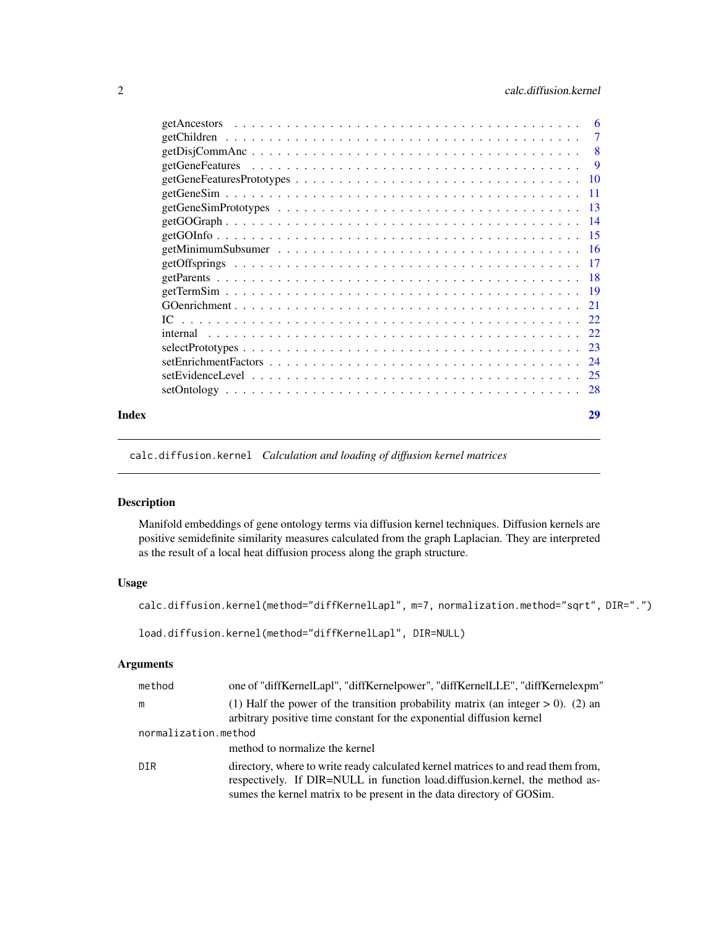<span id="page-1-0"></span>

| Index | 29 |
|-------|----|

calc.diffusion.kernel *Calculation and loading of diffusion kernel matrices*

# <span id="page-1-1"></span>Description

Manifold embeddings of gene ontology terms via diffusion kernel techniques. Diffusion kernels are positive semidefinite similarity measures calculated from the graph Laplacian. They are interpreted as the result of a local heat diffusion process along the graph structure.

# Usage

calc.diffusion.kernel(method="diffKernelLapl", m=7, normalization.method="sqrt", DIR=".")

load.diffusion.kernel(method="diffKernelLapl", DIR=NULL)

# Arguments

| method               | one of "diffKernelLapl", "diffKernelpower", "diffKernelLLE", "diffKernelexpm"                                                                                                                                                             |
|----------------------|-------------------------------------------------------------------------------------------------------------------------------------------------------------------------------------------------------------------------------------------|
| m                    | (1) Half the power of the transition probability matrix (an integer $> 0$ ). (2) an<br>arbitrary positive time constant for the exponential diffusion kernel                                                                              |
| normalization.method |                                                                                                                                                                                                                                           |
|                      | method to normalize the kernel                                                                                                                                                                                                            |
| <b>DIR</b>           | directory, where to write ready calculated kernel matrices to and read them from,<br>respectively. If DIR=NULL in function load.diffusion.kernel, the method as-<br>sumes the kernel matrix to be present in the data directory of GOSim. |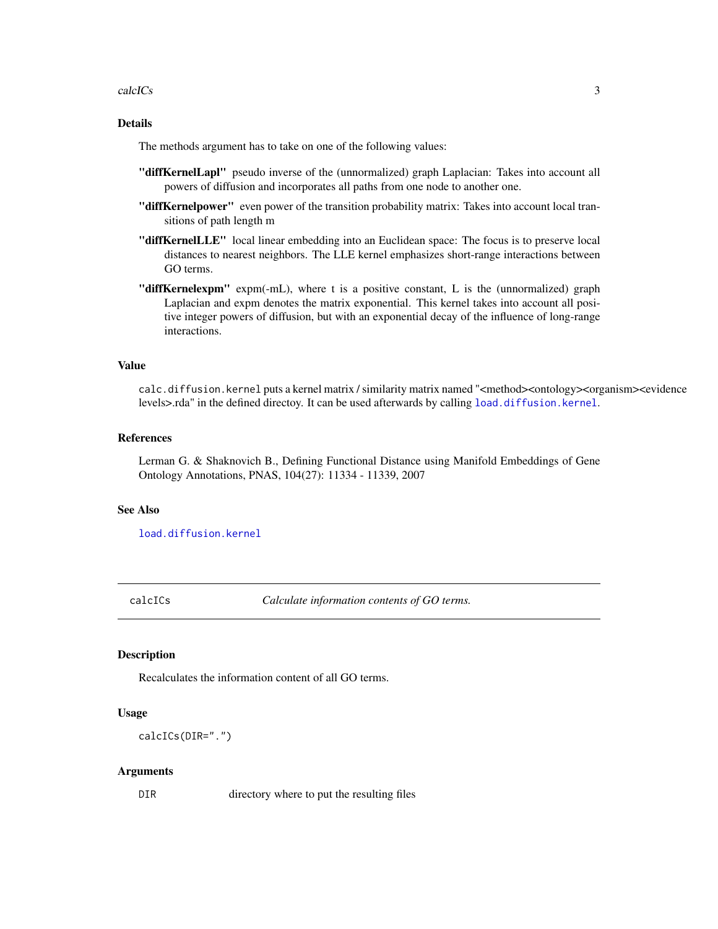#### <span id="page-2-0"></span>calcICs 3

# Details

The methods argument has to take on one of the following values:

- "diffKernelLapl" pseudo inverse of the (unnormalized) graph Laplacian: Takes into account all powers of diffusion and incorporates all paths from one node to another one.
- "diffKernelpower" even power of the transition probability matrix: Takes into account local transitions of path length m
- "diffKernelLLE" local linear embedding into an Euclidean space: The focus is to preserve local distances to nearest neighbors. The LLE kernel emphasizes short-range interactions between GO terms.
- "diffKernelexpm" expm(-mL), where t is a positive constant, L is the (unnormalized) graph Laplacian and expm denotes the matrix exponential. This kernel takes into account all positive integer powers of diffusion, but with an exponential decay of the influence of long-range interactions.

#### Value

calc.diffusion.kernel puts a kernel matrix / similarity matrix named "<method><ontology><organism><evidence levels>.rda" in the defined directoy. It can be used afterwards by calling [load.diffusion.kernel](#page-1-1).

# References

Lerman G. & Shaknovich B., Defining Functional Distance using Manifold Embeddings of Gene Ontology Annotations, PNAS, 104(27): 11334 - 11339, 2007

#### See Also

[load.diffusion.kernel](#page-1-1)

<span id="page-2-1"></span>calcICs *Calculate information contents of GO terms.*

#### Description

Recalculates the information content of all GO terms.

#### Usage

```
calcICs(DIR=".")
```
#### Arguments

DIR directory where to put the resulting files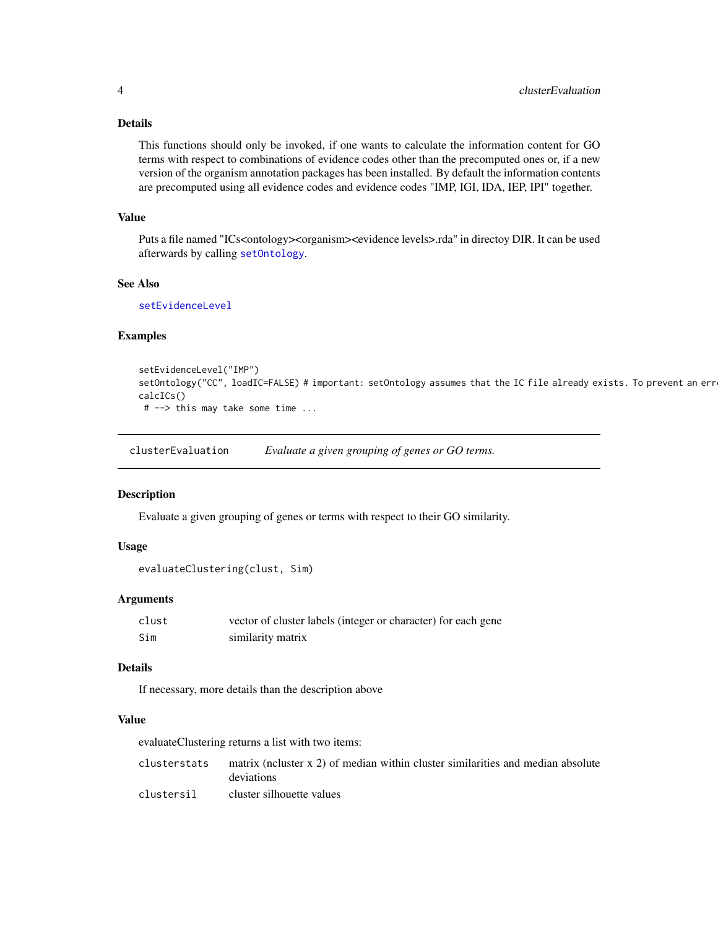# <span id="page-3-0"></span>Details

This functions should only be invoked, if one wants to calculate the information content for GO terms with respect to combinations of evidence codes other than the precomputed ones or, if a new version of the organism annotation packages has been installed. By default the information contents are precomputed using all evidence codes and evidence codes "IMP, IGI, IDA, IEP, IPI" together.

#### Value

Puts a file named "ICs<ontology><organism><evidence levels>.rda" in directoy DIR. It can be used afterwards by calling [setOntology](#page-27-1).

# See Also

[setEvidenceLevel](#page-24-1)

# Examples

```
setEvidenceLevel("IMP")
setOntology("CC", loadIC=FALSE) # important: setOntology assumes that the IC file already exists. To prevent an err
calcICs()
# --> this may take some time ...
```
clusterEvaluation *Evaluate a given grouping of genes or GO terms.*

#### <span id="page-3-1"></span>Description

Evaluate a given grouping of genes or terms with respect to their GO similarity.

# Usage

```
evaluateClustering(clust, Sim)
```
# Arguments

| clust | vector of cluster labels (integer or character) for each gene |
|-------|---------------------------------------------------------------|
| Sim   | similarity matrix                                             |

# Details

If necessary, more details than the description above

# Value

evaluateClustering returns a list with two items:

| clusterstats | matrix (neluster x 2) of median within cluster similarities and median absolute |
|--------------|---------------------------------------------------------------------------------|
|              | deviations                                                                      |
| clustersil   | cluster silhouette values                                                       |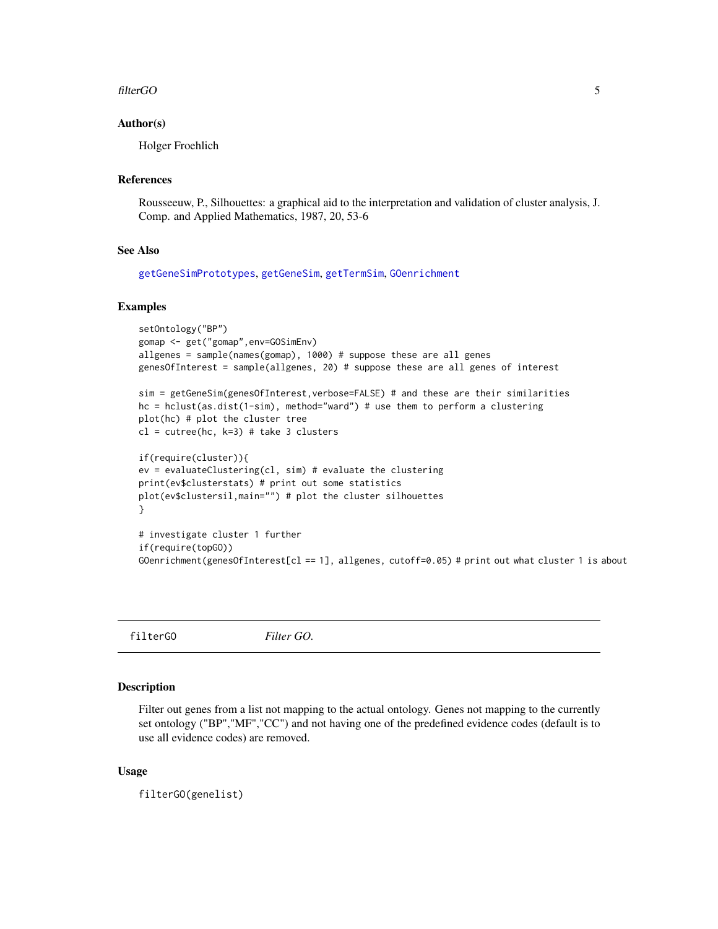#### <span id="page-4-0"></span>filterGO 5

#### Author(s)

Holger Froehlich

# References

Rousseeuw, P., Silhouettes: a graphical aid to the interpretation and validation of cluster analysis, J. Comp. and Applied Mathematics, 1987, 20, 53-6

#### See Also

[getGeneSimPrototypes](#page-12-1), [getGeneSim](#page-10-1), [getTermSim](#page-18-1), [GOenrichment](#page-20-1)

# Examples

```
setOntology("BP")
gomap <- get("gomap",env=GOSimEnv)
allgenes = sample(names(gomap), 1000) # suppose these are all genes
genesOfInterest = sample(allgenes, 20) # suppose these are all genes of interest
sim = getGeneSim(genesOfInterest,verbose=FALSE) # and these are their similarities
hc = hclust(as.dist(1-sim), method="ward") # use them to perform a clustering
plot(hc) # plot the cluster tree
cl = cutree(hc, k=3) # take 3 clusters
if(require(cluster)){
ev = evaluateClustering(cl, sim) # evaluate the clustering
print(ev$clusterstats) # print out some statistics
plot(ev$clustersil,main="") # plot the cluster silhouettes
}
# investigate cluster 1 further
if(require(topGO))
GOenrichment(genesOfInterest[cl == 1], allgenes, cutoff=0.05) # print out what cluster 1 is about
```
<span id="page-4-1"></span>filterGO *Filter GO.*

#### Description

Filter out genes from a list not mapping to the actual ontology. Genes not mapping to the currently set ontology ("BP","MF","CC") and not having one of the predefined evidence codes (default is to use all evidence codes) are removed.

#### Usage

filterGO(genelist)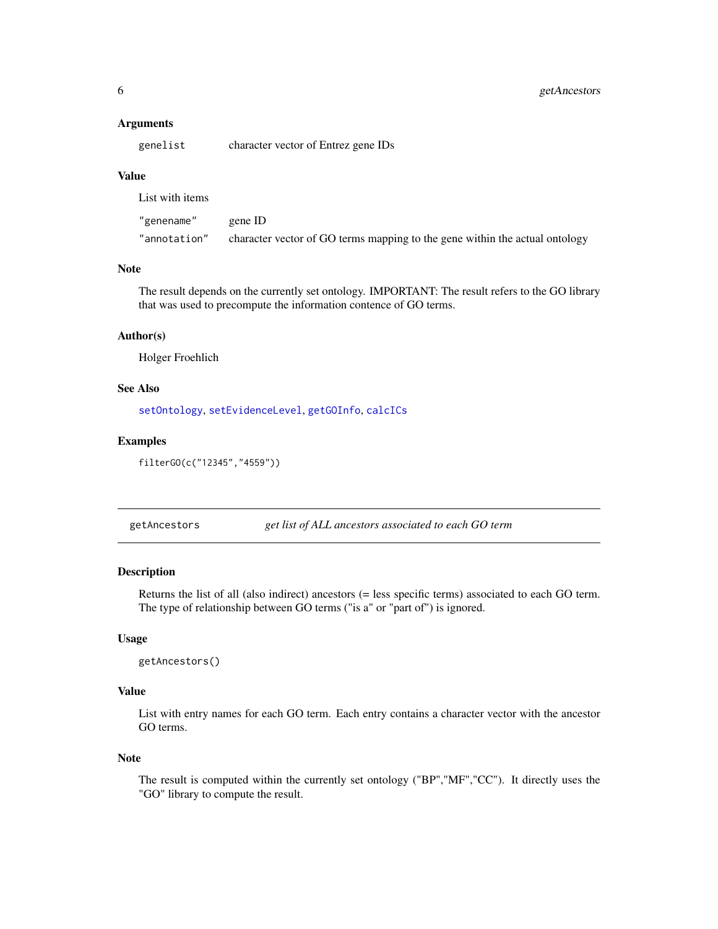#### <span id="page-5-0"></span>**Arguments**

genelist character vector of Entrez gene IDs

# Value

List with items

| "genename"   | gene ID                                                                     |
|--------------|-----------------------------------------------------------------------------|
| "annotation" | character vector of GO terms mapping to the gene within the actual ontology |

# Note

The result depends on the currently set ontology. IMPORTANT: The result refers to the GO library that was used to precompute the information contence of GO terms.

# Author(s)

Holger Froehlich

# See Also

[setOntology](#page-27-1), [setEvidenceLevel](#page-24-1), [getGOInfo](#page-14-1), [calcICs](#page-2-1)

#### Examples

```
filterGO(c("12345","4559"))
```
<span id="page-5-1"></span>getAncestors *get list of ALL ancestors associated to each GO term*

# Description

Returns the list of all (also indirect) ancestors (= less specific terms) associated to each GO term. The type of relationship between GO terms ("is a" or "part of") is ignored.

# Usage

```
getAncestors()
```
# Value

List with entry names for each GO term. Each entry contains a character vector with the ancestor GO terms.

#### Note

The result is computed within the currently set ontology ("BP","MF","CC"). It directly uses the "GO" library to compute the result.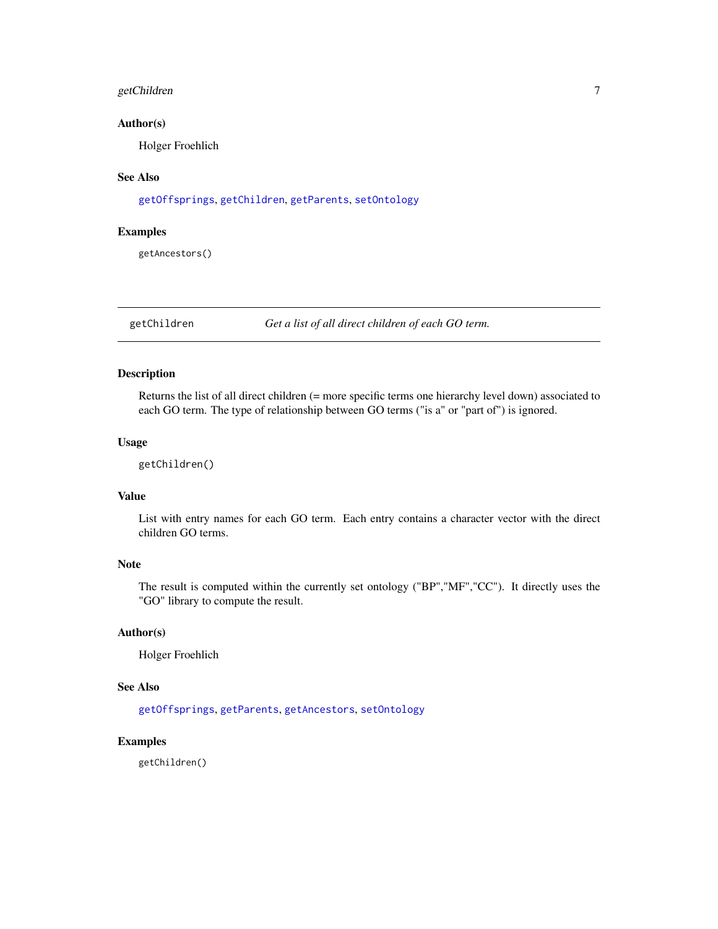# <span id="page-6-0"></span>getChildren 7

# Author(s)

Holger Froehlich

# See Also

[getOffsprings](#page-16-1), [getChildren](#page-6-1), [getParents](#page-17-1), [setOntology](#page-27-1)

# Examples

getAncestors()

<span id="page-6-1"></span>getChildren *Get a list of all direct children of each GO term.*

# Description

Returns the list of all direct children (= more specific terms one hierarchy level down) associated to each GO term. The type of relationship between GO terms ("is a" or "part of") is ignored.

#### Usage

getChildren()

# Value

List with entry names for each GO term. Each entry contains a character vector with the direct children GO terms.

# Note

The result is computed within the currently set ontology ("BP","MF","CC"). It directly uses the "GO" library to compute the result.

# Author(s)

Holger Froehlich

# See Also

[getOffsprings](#page-16-1), [getParents](#page-17-1), [getAncestors](#page-5-1), [setOntology](#page-27-1)

# Examples

getChildren()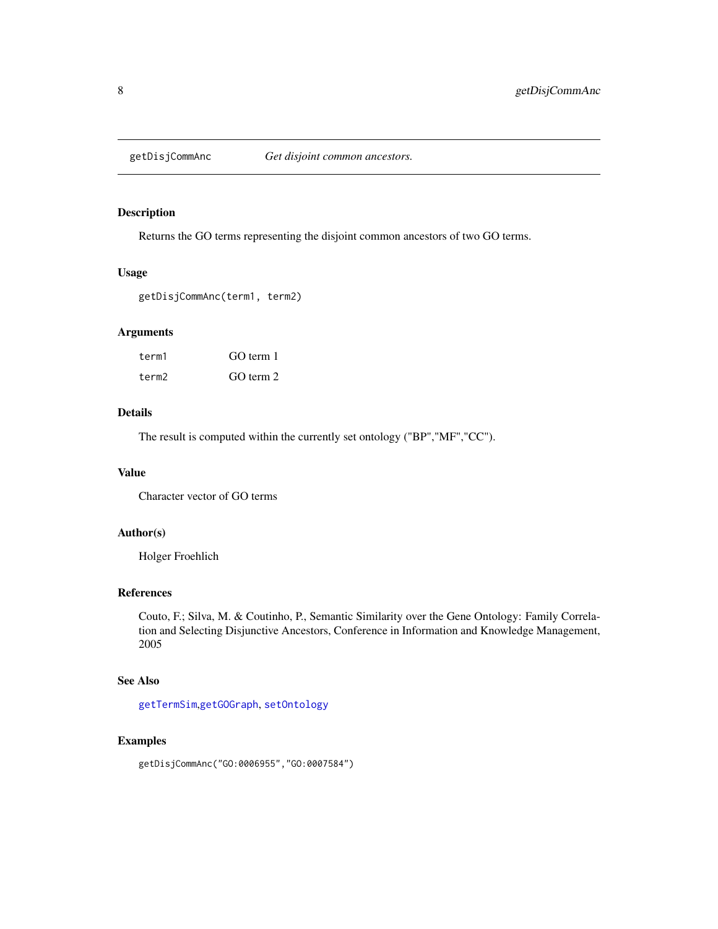<span id="page-7-1"></span><span id="page-7-0"></span>

# Description

Returns the GO terms representing the disjoint common ancestors of two GO terms.

#### Usage

```
getDisjCommAnc(term1, term2)
```
# Arguments

| term1 | GO term 1 |
|-------|-----------|
| term2 | GO term 2 |

# Details

The result is computed within the currently set ontology ("BP","MF","CC").

# Value

Character vector of GO terms

#### Author(s)

Holger Froehlich

# References

Couto, F.; Silva, M. & Coutinho, P., Semantic Similarity over the Gene Ontology: Family Correlation and Selecting Disjunctive Ancestors, Conference in Information and Knowledge Management, 2005

# See Also

[getTermSim](#page-18-1),[getGOGraph](#page-13-1), [setOntology](#page-27-1)

# Examples

getDisjCommAnc("GO:0006955","GO:0007584")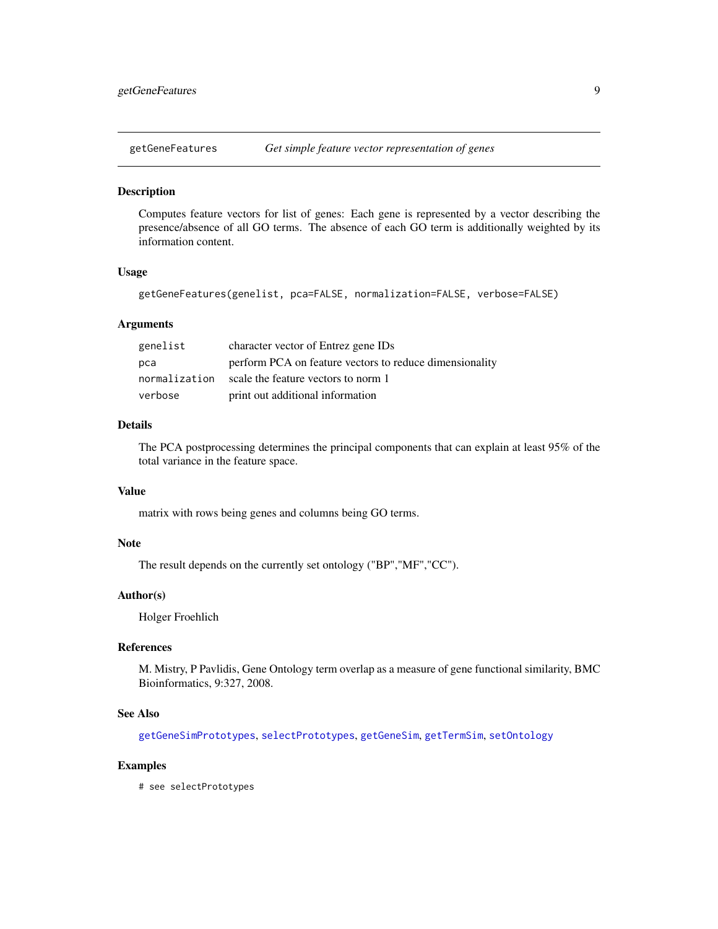<span id="page-8-0"></span>

#### **Description**

Computes feature vectors for list of genes: Each gene is represented by a vector describing the presence/absence of all GO terms. The absence of each GO term is additionally weighted by its information content.

#### Usage

getGeneFeatures(genelist, pca=FALSE, normalization=FALSE, verbose=FALSE)

#### **Arguments**

| genelist      | character vector of Entrez gene IDs                     |
|---------------|---------------------------------------------------------|
| рса           | perform PCA on feature vectors to reduce dimensionality |
| normalization | scale the feature vectors to norm 1                     |
| verbose       | print out additional information                        |

# Details

The PCA postprocessing determines the principal components that can explain at least 95% of the total variance in the feature space.

# Value

matrix with rows being genes and columns being GO terms.

# Note

The result depends on the currently set ontology ("BP","MF","CC").

# Author(s)

Holger Froehlich

#### References

M. Mistry, P Pavlidis, Gene Ontology term overlap as a measure of gene functional similarity, BMC Bioinformatics, 9:327, 2008.

#### See Also

[getGeneSimPrototypes](#page-12-1), [selectPrototypes](#page-22-1), [getGeneSim](#page-10-1), [getTermSim](#page-18-1), [setOntology](#page-27-1)

# Examples

# see selectPrototypes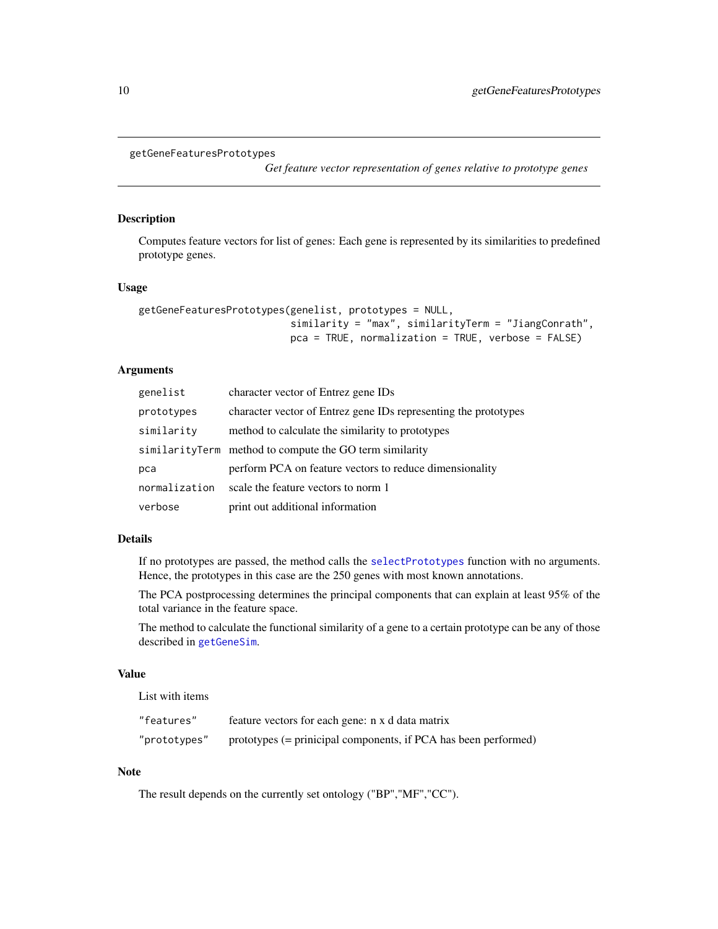```
getGeneFeaturesPrototypes
```
*Get feature vector representation of genes relative to prototype genes*

# Description

Computes feature vectors for list of genes: Each gene is represented by its similarities to predefined prototype genes.

#### Usage

```
getGeneFeaturesPrototypes(genelist, prototypes = NULL,
                          similarity = "max", similarityTerm = "JiangConrath",
                          pca = TRUE, normalization = TRUE, verbose = FALSE)
```
## Arguments

| genelist      | character vector of Entrez gene IDs                             |
|---------------|-----------------------------------------------------------------|
| prototypes    | character vector of Entrez gene IDs representing the prototypes |
| similarity    | method to calculate the similarity to prototypes                |
|               | similarityTerm method to compute the GO term similarity         |
| рса           | perform PCA on feature vectors to reduce dimensionality         |
| normalization | scale the feature vectors to norm 1                             |
| verbose       | print out additional information                                |

#### Details

If no prototypes are passed, the method calls the [selectPrototypes](#page-22-1) function with no arguments. Hence, the prototypes in this case are the 250 genes with most known annotations.

The PCA postprocessing determines the principal components that can explain at least 95% of the total variance in the feature space.

The method to calculate the functional similarity of a gene to a certain prototype can be any of those described in [getGeneSim](#page-10-1).

#### Value

List with items

| "features"   | feature vectors for each gene: n x d data matrix                |
|--------------|-----------------------------------------------------------------|
| "prototypes" | prototypes (= prinicipal components, if PCA has been performed) |

#### Note

The result depends on the currently set ontology ("BP","MF","CC").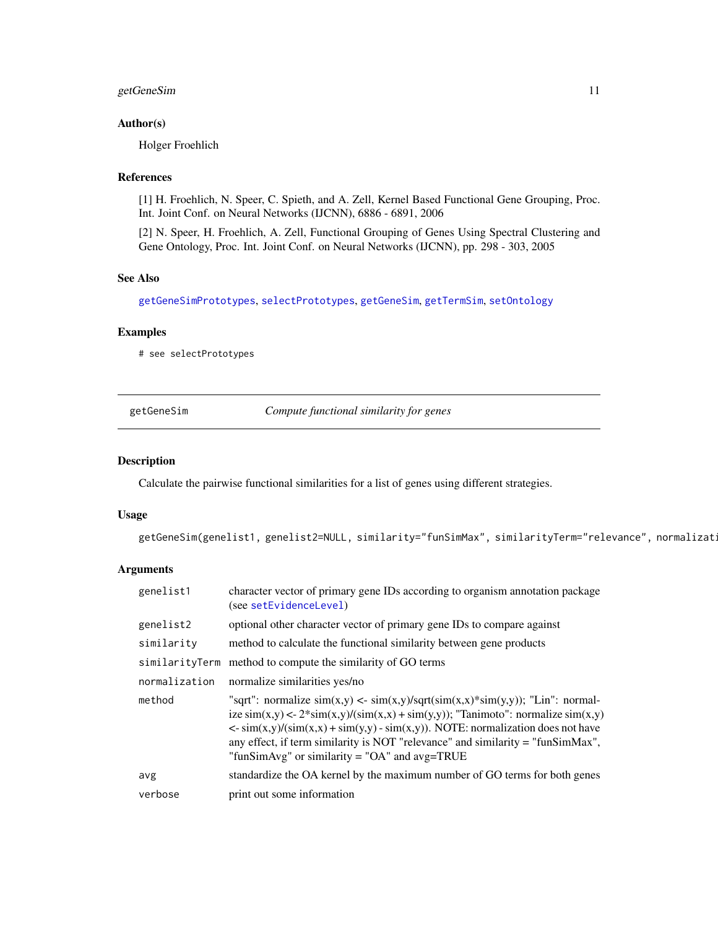# <span id="page-10-0"></span>getGeneSim 11

# Author(s)

Holger Froehlich

# References

[1] H. Froehlich, N. Speer, C. Spieth, and A. Zell, Kernel Based Functional Gene Grouping, Proc. Int. Joint Conf. on Neural Networks (IJCNN), 6886 - 6891, 2006

[2] N. Speer, H. Froehlich, A. Zell, Functional Grouping of Genes Using Spectral Clustering and Gene Ontology, Proc. Int. Joint Conf. on Neural Networks (IJCNN), pp. 298 - 303, 2005

# See Also

[getGeneSimPrototypes](#page-12-1), [selectPrototypes](#page-22-1), [getGeneSim](#page-10-1), [getTermSim](#page-18-1), [setOntology](#page-27-1)

# Examples

# see selectPrototypes

<span id="page-10-1"></span>

| getGeneSim |  |
|------------|--|
|            |  |

Compute functional similarity for genes

#### Description

Calculate the pairwise functional similarities for a list of genes using different strategies.

# Usage

getGeneSim(genelist1, genelist2=NULL, similarity="funSimMax", similarityTerm="relevance", normalizat:

#### Arguments

| genelist1     | character vector of primary gene IDs according to organism annotation package<br>(see setEvidenceLevel)                                                                                                                                                                                                                                                                                                                                                                      |
|---------------|------------------------------------------------------------------------------------------------------------------------------------------------------------------------------------------------------------------------------------------------------------------------------------------------------------------------------------------------------------------------------------------------------------------------------------------------------------------------------|
| genelist2     | optional other character vector of primary gene IDs to compare against                                                                                                                                                                                                                                                                                                                                                                                                       |
| similarity    | method to calculate the functional similarity between gene products                                                                                                                                                                                                                                                                                                                                                                                                          |
|               | similarityTerm method to compute the similarity of GO terms                                                                                                                                                                                                                                                                                                                                                                                                                  |
| normalization | normalize similarities yes/no                                                                                                                                                                                                                                                                                                                                                                                                                                                |
| method        | "sqrt": normalize $sim(x,y) \leq \frac{sim(x,y)}{sqrt(\text{sim}(x,x))^2}sim(y,y)$ ; "Lin": normal-<br>ize $\text{sim}(x,y) < -2^* \text{sim}(x,y)/(\text{sim}(x,x) + \text{sim}(y,y))$ ; "Tanimoto": normalize $\text{sim}(x,y)$<br>$\langle \sin(x,y)/(\sin(x,x) + \sin(y,y) - \sin(x,y)) \rangle$ . NOTE: normalization does not have<br>any effect, if term similarity is NOT "relevance" and similarity = "funSimMax",<br>"funSimAvg" or similarity = "OA" and avg=TRUE |
| avg           | standardize the OA kernel by the maximum number of GO terms for both genes                                                                                                                                                                                                                                                                                                                                                                                                   |
| verbose       | print out some information                                                                                                                                                                                                                                                                                                                                                                                                                                                   |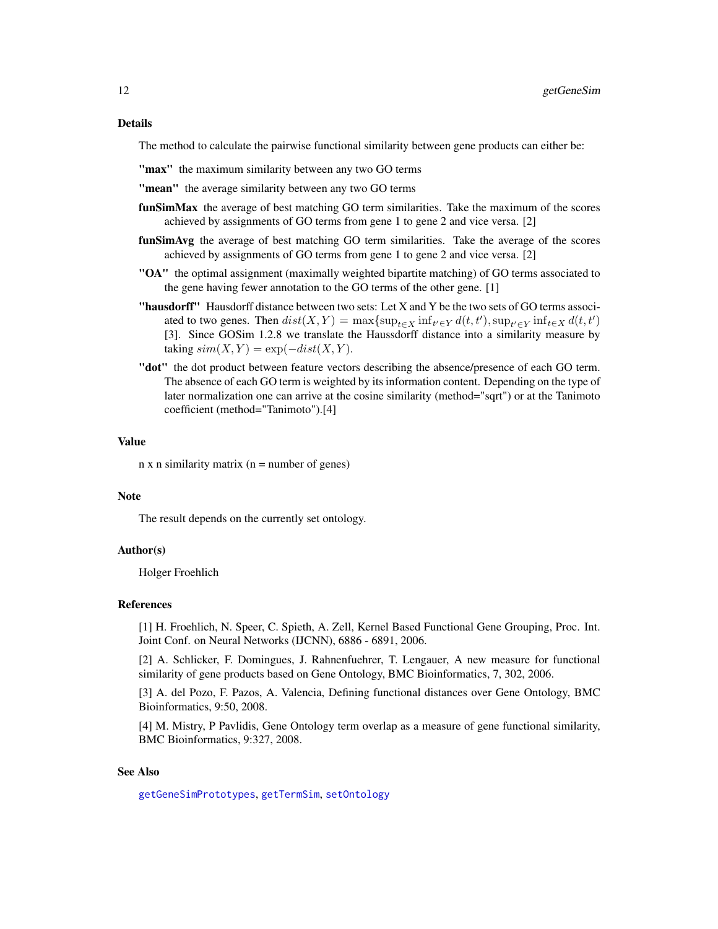#### <span id="page-11-0"></span>Details

The method to calculate the pairwise functional similarity between gene products can either be:

"max" the maximum similarity between any two GO terms

"mean" the average similarity between any two GO terms

- funSimMax the average of best matching GO term similarities. Take the maximum of the scores achieved by assignments of GO terms from gene 1 to gene 2 and vice versa. [2]
- funSimAvg the average of best matching GO term similarities. Take the average of the scores achieved by assignments of GO terms from gene 1 to gene 2 and vice versa. [2]
- "OA" the optimal assignment (maximally weighted bipartite matching) of GO terms associated to the gene having fewer annotation to the GO terms of the other gene. [1]
- "hausdorff" Hausdorff distance between two sets: Let X and Y be the two sets of GO terms associated to two genes. Then  $dist(X, Y) = \max\{\sup_{t \in X} \inf_{t' \in Y} d(t, t'), \sup_{t' \in Y} \inf_{t \in X} d(t, t')\}$ [3]. Since GOSim 1.2.8 we translate the Haussdorff distance into a similarity measure by taking  $sim(X, Y) = exp(-dist(X, Y)).$
- "dot" the dot product between feature vectors describing the absence/presence of each GO term. The absence of each GO term is weighted by its information content. Depending on the type of later normalization one can arrive at the cosine similarity (method="sqrt") or at the Tanimoto coefficient (method="Tanimoto").[4]

#### Value

 $n \times n$  similarity matrix ( $n =$  number of genes)

#### **Note**

The result depends on the currently set ontology.

#### Author(s)

Holger Froehlich

#### References

[1] H. Froehlich, N. Speer, C. Spieth, A. Zell, Kernel Based Functional Gene Grouping, Proc. Int. Joint Conf. on Neural Networks (IJCNN), 6886 - 6891, 2006.

[2] A. Schlicker, F. Domingues, J. Rahnenfuehrer, T. Lengauer, A new measure for functional similarity of gene products based on Gene Ontology, BMC Bioinformatics, 7, 302, 2006.

[3] A. del Pozo, F. Pazos, A. Valencia, Defining functional distances over Gene Ontology, BMC Bioinformatics, 9:50, 2008.

[4] M. Mistry, P Pavlidis, Gene Ontology term overlap as a measure of gene functional similarity, BMC Bioinformatics, 9:327, 2008.

# See Also

[getGeneSimPrototypes](#page-12-1), [getTermSim](#page-18-1), [setOntology](#page-27-1)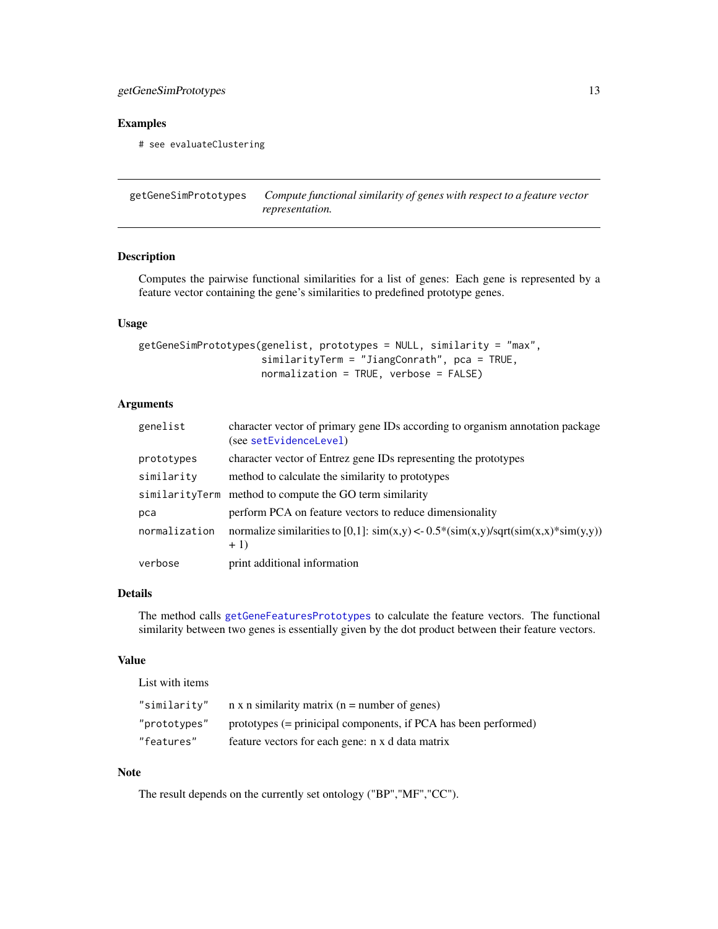# <span id="page-12-0"></span>getGeneSimPrototypes 13

# Examples

# see evaluateClustering

<span id="page-12-1"></span>getGeneSimPrototypes *Compute functional similarity of genes with respect to a feature vector representation.*

# Description

Computes the pairwise functional similarities for a list of genes: Each gene is represented by a feature vector containing the gene's similarities to predefined prototype genes.

# Usage

```
getGeneSimPrototypes(genelist, prototypes = NULL, similarity = "max",
                     similarityTerm = "JiangConrath", pca = TRUE,
                     normalization = TRUE, verbose = FALSE)
```
# Arguments

| genelist      | character vector of primary gene IDs according to organism annotation package<br>(see setEvidenceLevel) |
|---------------|---------------------------------------------------------------------------------------------------------|
| prototypes    | character vector of Entrez gene IDs representing the prototypes                                         |
| similarity    | method to calculate the similarity to prototypes                                                        |
|               | similarityTerm method to compute the GO term similarity                                                 |
| pca           | perform PCA on feature vectors to reduce dimensionality                                                 |
| normalization | normalize similarities to [0,1]: $\sin(x,y) < -0.5*(\sin(x,y)/\sqrt{\sqrt{\sin(x,x)}})$<br>$+1)$        |
| verbose       | print additional information                                                                            |

# Details

The method calls [getGeneFeaturesPrototypes](#page-9-1) to calculate the feature vectors. The functional similarity between two genes is essentially given by the dot product between their feature vectors.

# Value

List with items

| "similarity" | $n \times n$ similarity matrix ( $n =$ number of genes)         |
|--------------|-----------------------------------------------------------------|
| "prototypes" | prototypes (= prinicipal components, if PCA has been performed) |
| "features"   | feature vectors for each gene: n x d data matrix                |

#### Note

The result depends on the currently set ontology ("BP","MF","CC").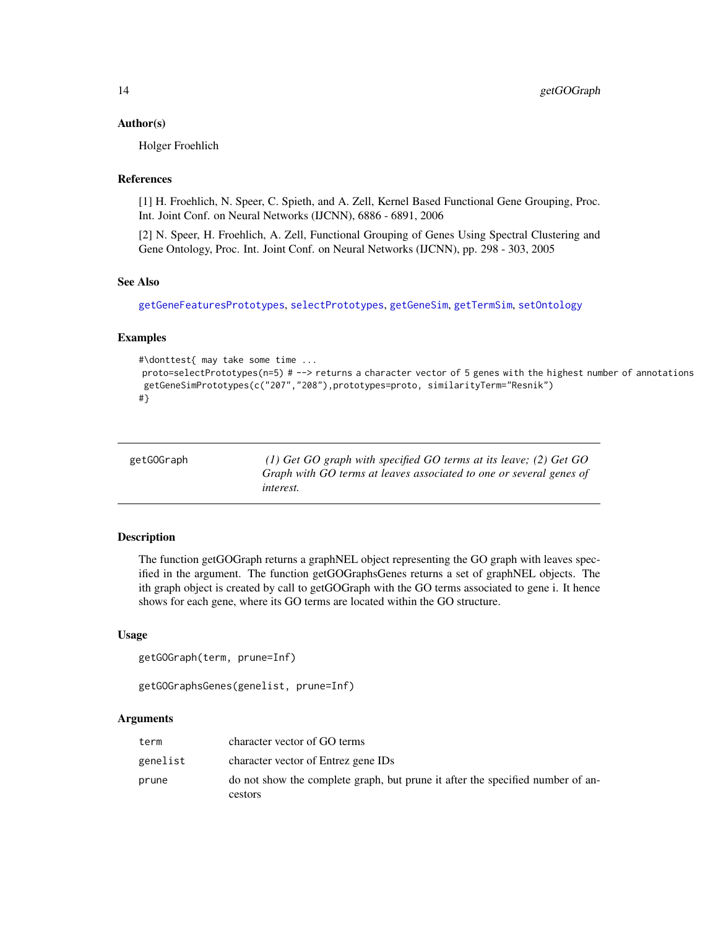#### <span id="page-13-0"></span>Author(s)

Holger Froehlich

# References

[1] H. Froehlich, N. Speer, C. Spieth, and A. Zell, Kernel Based Functional Gene Grouping, Proc. Int. Joint Conf. on Neural Networks (IJCNN), 6886 - 6891, 2006

[2] N. Speer, H. Froehlich, A. Zell, Functional Grouping of Genes Using Spectral Clustering and Gene Ontology, Proc. Int. Joint Conf. on Neural Networks (IJCNN), pp. 298 - 303, 2005

#### See Also

[getGeneFeaturesPrototypes](#page-9-1), [selectPrototypes](#page-22-1), [getGeneSim](#page-10-1), [getTermSim](#page-18-1), [setOntology](#page-27-1)

# Examples

```
#\donttest{ may take some time ...
proto=selectPrototypes(n=5) # --> returns a character vector of 5 genes with the highest number of annotations
getGeneSimPrototypes(c("207","208"),prototypes=proto, similarityTerm="Resnik")
#}
```
<span id="page-13-1"></span>

| getGOGraph | (1) Get GO graph with specified GO terms at its leave; (2) Get GO                       |
|------------|-----------------------------------------------------------------------------------------|
|            | Graph with GO terms at leaves associated to one or several genes of<br><i>interest.</i> |
|            |                                                                                         |

#### Description

The function getGOGraph returns a graphNEL object representing the GO graph with leaves specified in the argument. The function getGOGraphsGenes returns a set of graphNEL objects. The ith graph object is created by call to getGOGraph with the GO terms associated to gene i. It hence shows for each gene, where its GO terms are located within the GO structure.

# Usage

```
getGOGraph(term, prune=Inf)
```

```
getGOGraphsGenes(genelist, prune=Inf)
```
# **Arguments**

| term     | character vector of GO terms                                                   |
|----------|--------------------------------------------------------------------------------|
| genelist | character vector of Entrez gene IDs                                            |
| prune    | do not show the complete graph, but prune it after the specified number of an- |
|          | cestors                                                                        |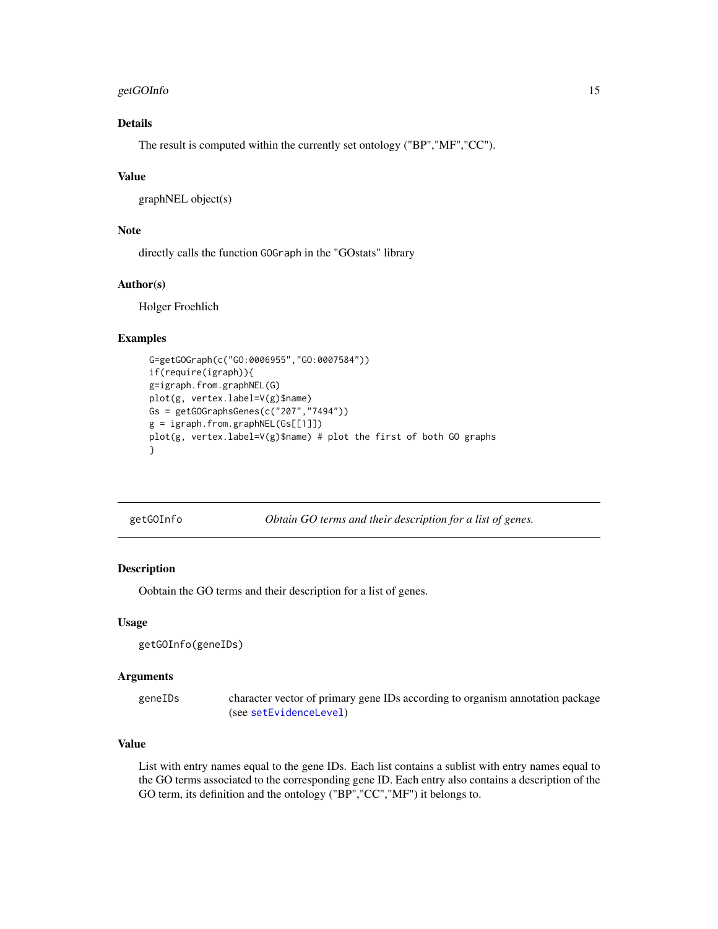# <span id="page-14-0"></span>getGOInfo 15

# Details

The result is computed within the currently set ontology ("BP","MF","CC").

# Value

graphNEL object(s)

# Note

directly calls the function GOGraph in the "GOstats" library

# Author(s)

Holger Froehlich

#### Examples

```
G=getGOGraph(c("GO:0006955","GO:0007584"))
if(require(igraph)){
g=igraph.from.graphNEL(G)
plot(g, vertex.label=V(g)$name)
Gs = getGOGraphsGenes(c("207","7494"))
g = igraph.from.graphNEL(Gs[[1]])
plot(g, vertex.label=V(g)$name) # plot the first of both GO graphs
}
```
<span id="page-14-1"></span>getGOInfo *Obtain GO terms and their description for a list of genes.*

# Description

Oobtain the GO terms and their description for a list of genes.

#### Usage

```
getGOInfo(geneIDs)
```
# Arguments

geneIDs character vector of primary gene IDs according to organism annotation package (see [setEvidenceLevel](#page-24-1))

# Value

List with entry names equal to the gene IDs. Each list contains a sublist with entry names equal to the GO terms associated to the corresponding gene ID. Each entry also contains a description of the GO term, its definition and the ontology ("BP","CC","MF") it belongs to.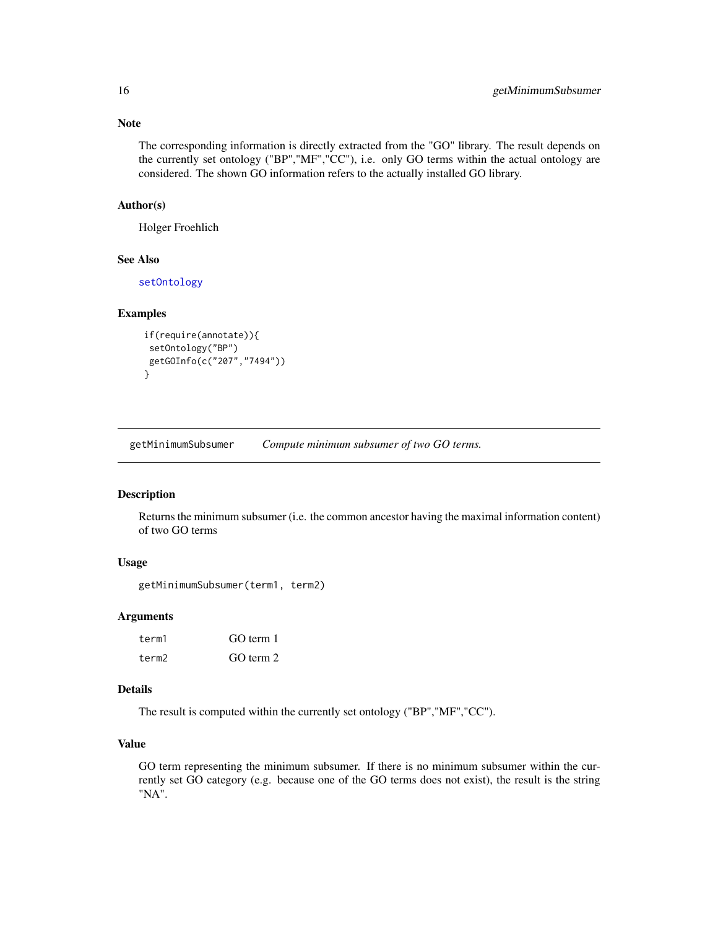The corresponding information is directly extracted from the "GO" library. The result depends on the currently set ontology ("BP","MF","CC"), i.e. only GO terms within the actual ontology are considered. The shown GO information refers to the actually installed GO library.

# Author(s)

Holger Froehlich

# See Also

[setOntology](#page-27-1)

# Examples

```
if(require(annotate)){
 setOntology("BP")
 getGOInfo(c("207","7494"))
}
```
<span id="page-15-1"></span>getMinimumSubsumer *Compute minimum subsumer of two GO terms.*

# Description

Returns the minimum subsumer (i.e. the common ancestor having the maximal information content) of two GO terms

# Usage

```
getMinimumSubsumer(term1, term2)
```
#### **Arguments**

| term1 | GO term 1 |
|-------|-----------|
| term2 | GO term 2 |

# Details

The result is computed within the currently set ontology ("BP","MF","CC").

# Value

GO term representing the minimum subsumer. If there is no minimum subsumer within the currently set GO category (e.g. because one of the GO terms does not exist), the result is the string "NA".

<span id="page-15-0"></span>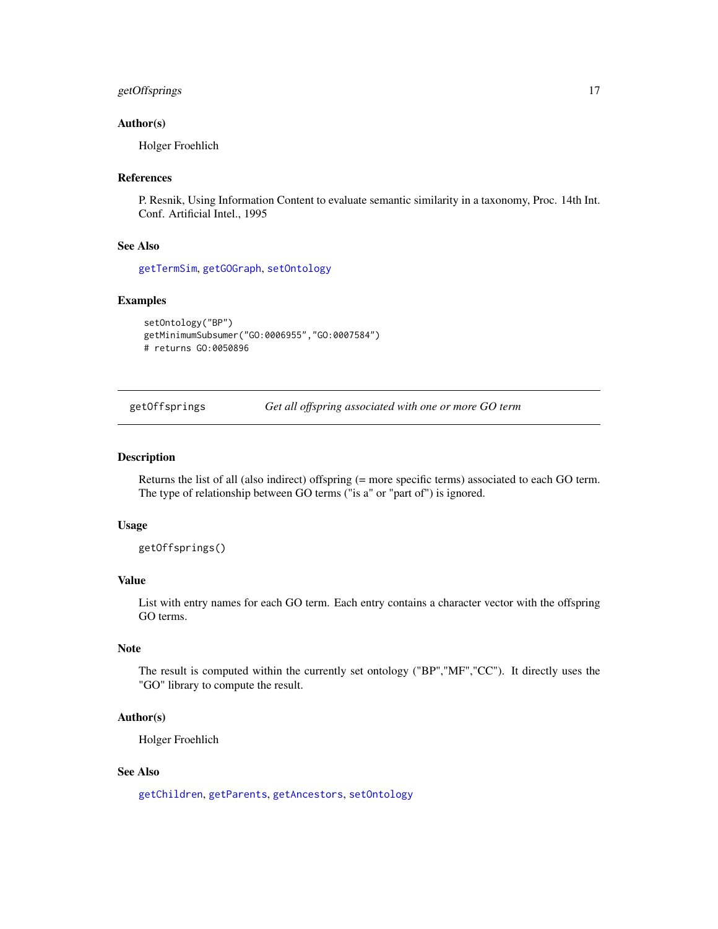# <span id="page-16-0"></span>getOffsprings 17

#### Author(s)

Holger Froehlich

# References

P. Resnik, Using Information Content to evaluate semantic similarity in a taxonomy, Proc. 14th Int. Conf. Artificial Intel., 1995

# See Also

[getTermSim](#page-18-1), [getGOGraph](#page-13-1), [setOntology](#page-27-1)

#### Examples

```
setOntology("BP")
getMinimumSubsumer("GO:0006955","GO:0007584")
# returns GO:0050896
```
<span id="page-16-1"></span>getOffsprings *Get all offspring associated with one or more GO term*

# Description

Returns the list of all (also indirect) offspring (= more specific terms) associated to each GO term. The type of relationship between GO terms ("is a" or "part of") is ignored.

#### Usage

getOffsprings()

# Value

List with entry names for each GO term. Each entry contains a character vector with the offspring GO terms.

# Note

The result is computed within the currently set ontology ("BP","MF","CC"). It directly uses the "GO" library to compute the result.

#### Author(s)

Holger Froehlich

# See Also

[getChildren](#page-6-1), [getParents](#page-17-1), [getAncestors](#page-5-1), [setOntology](#page-27-1)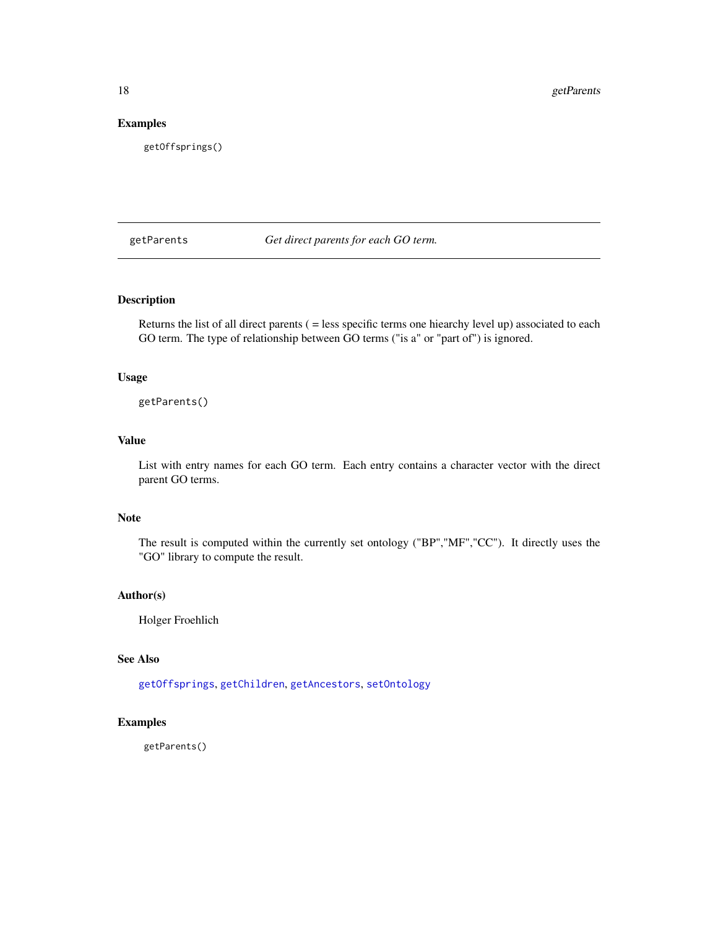# Examples

getOffsprings()

<span id="page-17-1"></span>getParents *Get direct parents for each GO term.*

# Description

Returns the list of all direct parents ( = less specific terms one hiearchy level up) associated to each GO term. The type of relationship between GO terms ("is a" or "part of") is ignored.

#### Usage

getParents()

# Value

List with entry names for each GO term. Each entry contains a character vector with the direct parent GO terms.

#### Note

The result is computed within the currently set ontology ("BP","MF","CC"). It directly uses the "GO" library to compute the result.

# Author(s)

Holger Froehlich

# See Also

[getOffsprings](#page-16-1), [getChildren](#page-6-1), [getAncestors](#page-5-1), [setOntology](#page-27-1)

# Examples

getParents()

<span id="page-17-0"></span>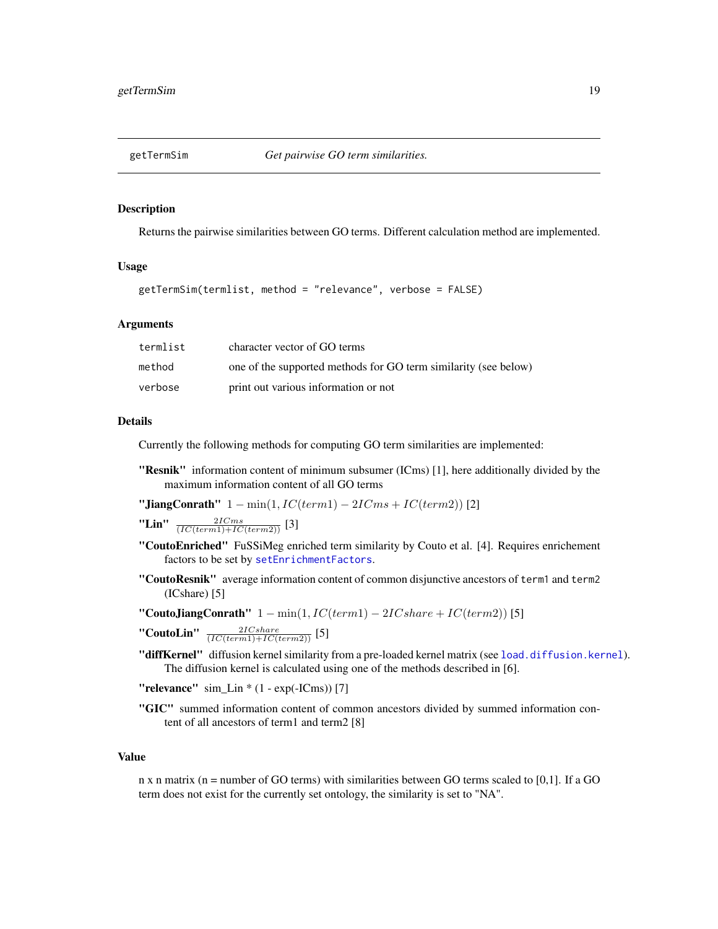<span id="page-18-1"></span><span id="page-18-0"></span>

#### Description

Returns the pairwise similarities between GO terms. Different calculation method are implemented.

#### Usage

```
getTermSim(termlist, method = "relevance", verbose = FALSE)
```
#### Arguments

| termlist | character vector of GO terms                                    |
|----------|-----------------------------------------------------------------|
| method   | one of the supported methods for GO term similarity (see below) |
| verbose  | print out various information or not                            |

#### Details

Currently the following methods for computing GO term similarities are implemented:

"Resnik" information content of minimum subsumer (ICms) [1], here additionally divided by the maximum information content of all GO terms

"JiangConrath"  $1 - min(1, IC(term1) - 2ICms + IC(term2))$  [2]

"Lin"  $\frac{2ICms}{(IC(term1)+IC(term2))}$  [3]

- "CoutoEnriched" FuSSiMeg enriched term similarity by Couto et al. [4]. Requires enrichement factors to be set by [setEnrichmentFactors](#page-23-1).
- "CoutoResnik" average information content of common disjunctive ancestors of term1 and term2 (ICshare) [5]

"CoutoJiangConrath"  $1 - min(1, IC(term1) - 2ICshare + IC(term2))$  [5]

"CoutoLin"  $\frac{2ICshare}{(IC(term1)+IC(term2))}$  [5]

"diffKernel" diffusion kernel similarity from a pre-loaded kernel matrix (see [load.diffusion.kernel](#page-1-1)). The diffusion kernel is calculated using one of the methods described in [6].

"relevance"  $\sin$ \_Lin \* (1 - exp(-ICms)) [7]

"GIC" summed information content of common ancestors divided by summed information content of all ancestors of term1 and term2 [8]

#### Value

n x n matrix ( $n =$  number of GO terms) with similarities between GO terms scaled to [0,1]. If a GO term does not exist for the currently set ontology, the similarity is set to "NA".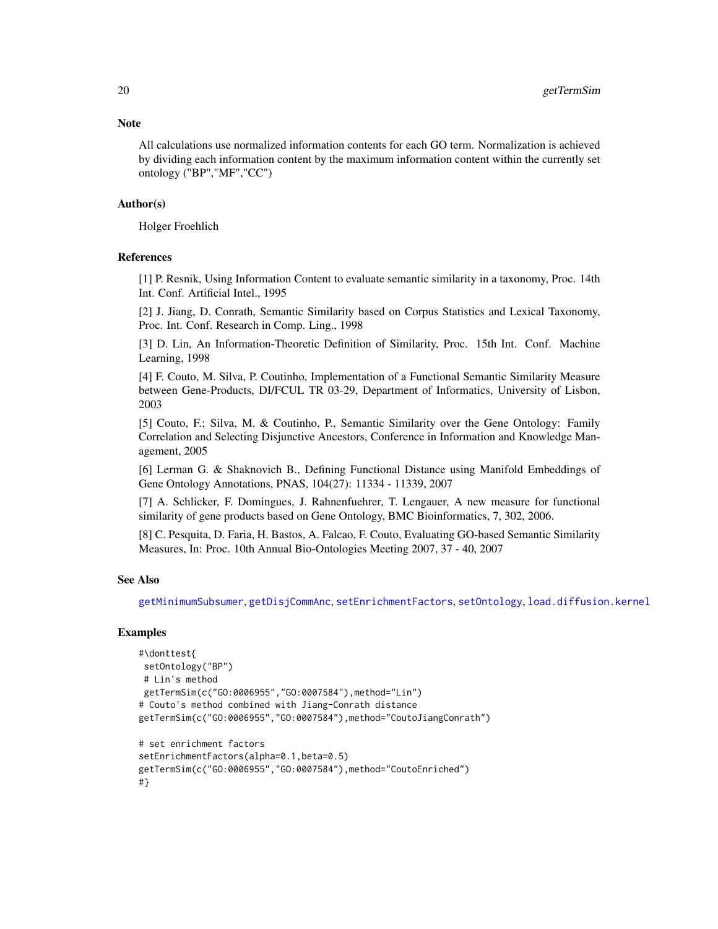<span id="page-19-0"></span>All calculations use normalized information contents for each GO term. Normalization is achieved by dividing each information content by the maximum information content within the currently set ontology ("BP","MF","CC")

#### Author(s)

Holger Froehlich

#### References

[1] P. Resnik, Using Information Content to evaluate semantic similarity in a taxonomy, Proc. 14th Int. Conf. Artificial Intel., 1995

[2] J. Jiang, D. Conrath, Semantic Similarity based on Corpus Statistics and Lexical Taxonomy, Proc. Int. Conf. Research in Comp. Ling., 1998

[3] D. Lin, An Information-Theoretic Definition of Similarity, Proc. 15th Int. Conf. Machine Learning, 1998

[4] F. Couto, M. Silva, P. Coutinho, Implementation of a Functional Semantic Similarity Measure between Gene-Products, DI/FCUL TR 03-29, Department of Informatics, University of Lisbon, 2003

[5] Couto, F.; Silva, M. & Coutinho, P., Semantic Similarity over the Gene Ontology: Family Correlation and Selecting Disjunctive Ancestors, Conference in Information and Knowledge Management, 2005

[6] Lerman G. & Shaknovich B., Defining Functional Distance using Manifold Embeddings of Gene Ontology Annotations, PNAS, 104(27): 11334 - 11339, 2007

[7] A. Schlicker, F. Domingues, J. Rahnenfuehrer, T. Lengauer, A new measure for functional similarity of gene products based on Gene Ontology, BMC Bioinformatics, 7, 302, 2006.

[8] C. Pesquita, D. Faria, H. Bastos, A. Falcao, F. Couto, Evaluating GO-based Semantic Similarity Measures, In: Proc. 10th Annual Bio-Ontologies Meeting 2007, 37 - 40, 2007

# See Also

[getMinimumSubsumer](#page-15-1), [getDisjCommAnc](#page-7-1), [setEnrichmentFactors](#page-23-1), [setOntology](#page-27-1), [load.diffusion.kernel](#page-1-1)

#### Examples

```
#\donttest{
setOntology("BP")
# Lin's method
getTermSim(c("GO:0006955","GO:0007584"),method="Lin")
# Couto's method combined with Jiang-Conrath distance
getTermSim(c("GO:0006955","GO:0007584"),method="CoutoJiangConrath")
# set enrichment factors
setEnrichmentFactors(alpha=0.1,beta=0.5)
getTermSim(c("GO:0006955","GO:0007584"),method="CoutoEnriched")
#}
```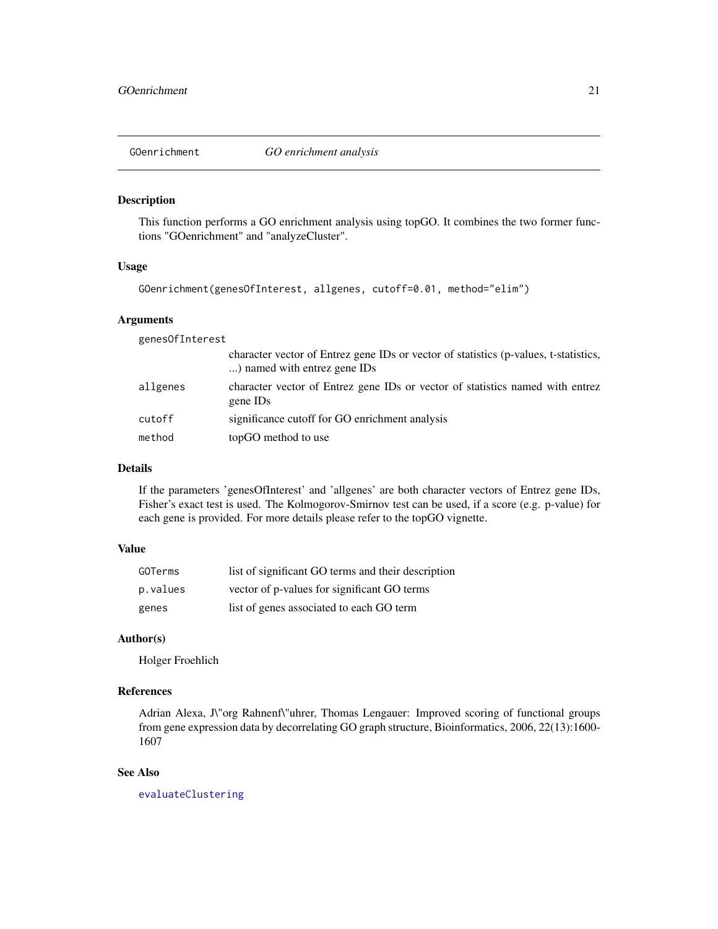<span id="page-20-1"></span><span id="page-20-0"></span>

#### Description

This function performs a GO enrichment analysis using topGO. It combines the two former functions "GOenrichment" and "analyzeCluster".

#### Usage

```
GOenrichment(genesOfInterest, allgenes, cutoff=0.01, method="elim")
```
# Arguments

genesOfInterest

|          | character vector of Entrez gene IDs or vector of statistics (p-values, t-statistics,<br>) named with entrez gene IDs |
|----------|----------------------------------------------------------------------------------------------------------------------|
| allgenes | character vector of Entrez gene IDs or vector of statistics named with entrez<br>gene ID <sub>s</sub>                |
| cutoff   | significance cutoff for GO enrichment analysis                                                                       |
| method   | topGO method to use                                                                                                  |

# Details

If the parameters 'genesOfInterest' and 'allgenes' are both character vectors of Entrez gene IDs, Fisher's exact test is used. The Kolmogorov-Smirnov test can be used, if a score (e.g. p-value) for each gene is provided. For more details please refer to the topGO vignette.

# Value

| GOTerms  | list of significant GO terms and their description |
|----------|----------------------------------------------------|
| p.values | vector of p-values for significant GO terms        |
| genes    | list of genes associated to each GO term           |

# Author(s)

Holger Froehlich

# References

Adrian Alexa, J\"org Rahnenf\"uhrer, Thomas Lengauer: Improved scoring of functional groups from gene expression data by decorrelating GO graph structure, Bioinformatics, 2006, 22(13):1600- 1607

# See Also

[evaluateClustering](#page-3-1)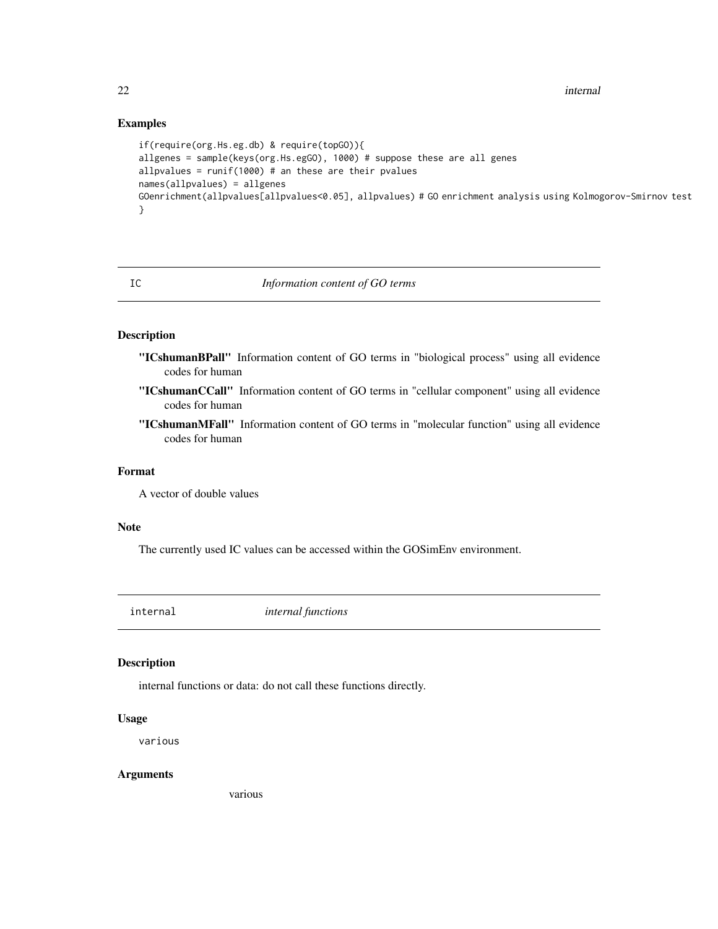# Examples

```
if(require(org.Hs.eg.db) & require(topGO)){
allgenes = sample(keys(org.Hs.egGO), 1000) # suppose these are all genes
allpvalues = runif(1000) # an these are their pvalues
names(allpvalues) = allgenes
GOenrichment(allpvalues[allpvalues<0.05], allpvalues) # GO enrichment analysis using Kolmogorov-Smirnov test
}
```
# IC *Information content of GO terms*

# Description

- "ICshumanBPall" Information content of GO terms in "biological process" using all evidence codes for human
- "ICshumanCCall" Information content of GO terms in "cellular component" using all evidence codes for human
- "ICshumanMFall" Information content of GO terms in "molecular function" using all evidence codes for human

# Format

A vector of double values

# Note

The currently used IC values can be accessed within the GOSimEnv environment.

internal *internal functions*

#### Description

internal functions or data: do not call these functions directly.

## Usage

various

# Arguments

various

<span id="page-21-0"></span>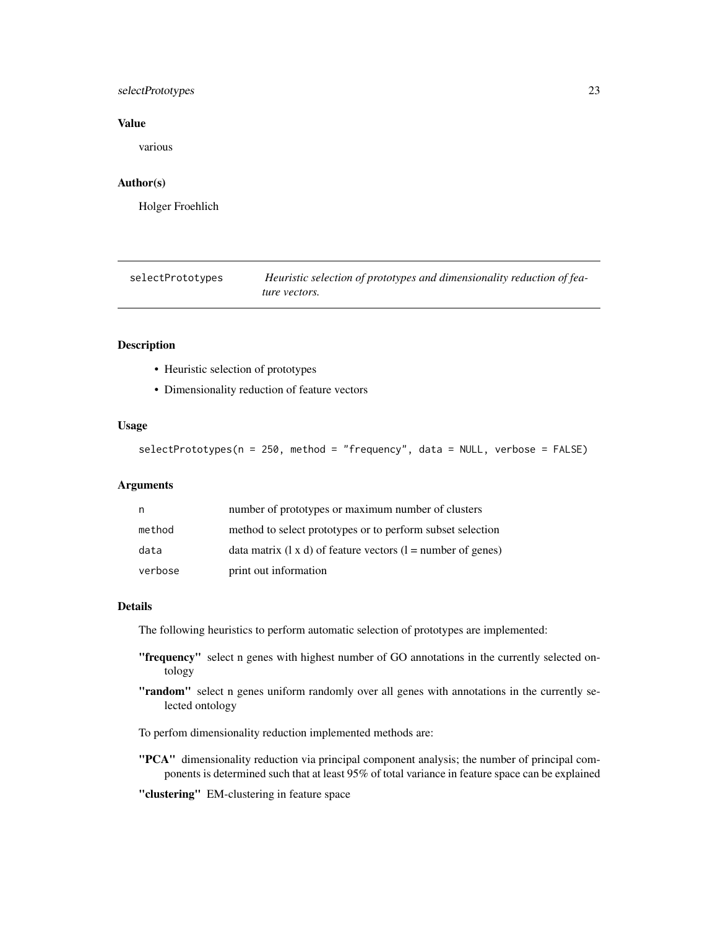# <span id="page-22-0"></span>selectPrototypes 23

# Value

various

# Author(s)

Holger Froehlich

<span id="page-22-1"></span>selectPrototypes *Heuristic selection of prototypes and dimensionality reduction of feature vectors.*

# Description

- Heuristic selection of prototypes
- Dimensionality reduction of feature vectors

# Usage

```
selectPrototypes(n = 250, method = "frequency", data = NULL, verbose = FALSE)
```
#### Arguments

| n       | number of prototypes or maximum number of clusters                    |
|---------|-----------------------------------------------------------------------|
| method  | method to select prototypes or to perform subset selection            |
| data    | data matrix $(1 \times d)$ of feature vectors $(1 =$ number of genes) |
| verbose | print out information                                                 |

# Details

The following heuristics to perform automatic selection of prototypes are implemented:

- "frequency" select n genes with highest number of GO annotations in the currently selected ontology
- "random" select n genes uniform randomly over all genes with annotations in the currently selected ontology

To perfom dimensionality reduction implemented methods are:

- "PCA" dimensionality reduction via principal component analysis; the number of principal components is determined such that at least 95% of total variance in feature space can be explained
- "clustering" EM-clustering in feature space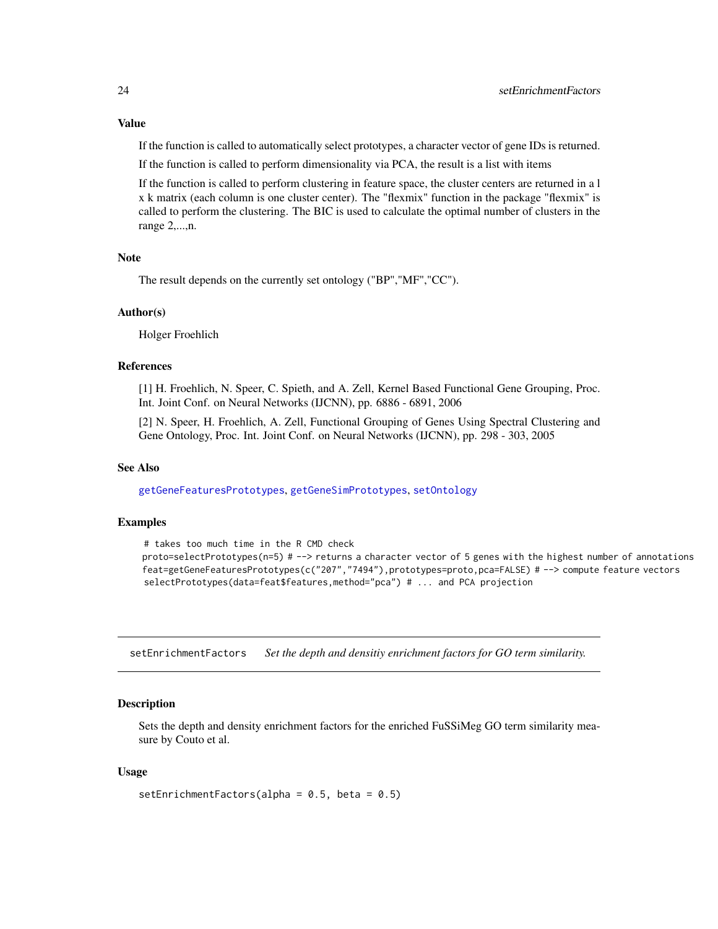# <span id="page-23-0"></span>Value

If the function is called to automatically select prototypes, a character vector of gene IDs is returned.

If the function is called to perform dimensionality via PCA, the result is a list with items

If the function is called to perform clustering in feature space, the cluster centers are returned in a l x k matrix (each column is one cluster center). The "flexmix" function in the package "flexmix" is called to perform the clustering. The BIC is used to calculate the optimal number of clusters in the range 2,...,n.

# Note

The result depends on the currently set ontology ("BP","MF","CC").

#### Author(s)

Holger Froehlich

# References

[1] H. Froehlich, N. Speer, C. Spieth, and A. Zell, Kernel Based Functional Gene Grouping, Proc. Int. Joint Conf. on Neural Networks (IJCNN), pp. 6886 - 6891, 2006

[2] N. Speer, H. Froehlich, A. Zell, Functional Grouping of Genes Using Spectral Clustering and Gene Ontology, Proc. Int. Joint Conf. on Neural Networks (IJCNN), pp. 298 - 303, 2005

#### See Also

[getGeneFeaturesPrototypes](#page-9-1), [getGeneSimPrototypes](#page-12-1), [setOntology](#page-27-1)

# Examples

```
# takes too much time in the R CMD check
proto=selectPrototypes(n=5) # --> returns a character vector of 5 genes with the highest number of annotations
feat=getGeneFeaturesPrototypes(c("207","7494"),prototypes=proto,pca=FALSE) # --> compute feature vectors
selectPrototypes(data=feat$features,method="pca") # ... and PCA projection
```
<span id="page-23-1"></span>setEnrichmentFactors *Set the depth and densitiy enrichment factors for GO term similarity.*

# **Description**

Sets the depth and density enrichment factors for the enriched FuSSiMeg GO term similarity measure by Couto et al.

#### Usage

```
setEnrichmentFactors(alpha = 0.5, beta = 0.5)
```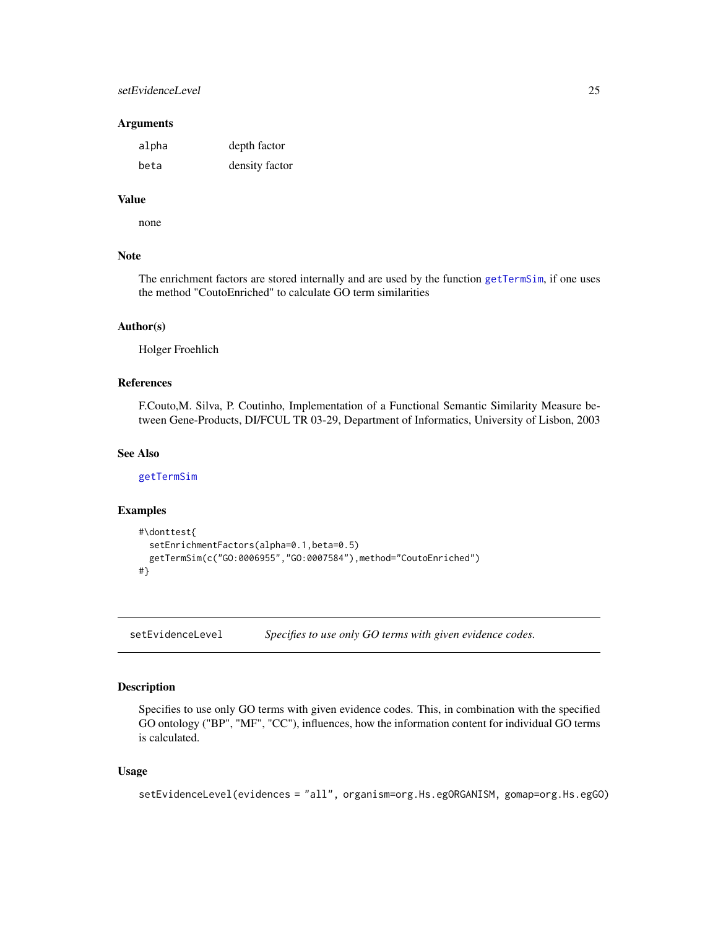# <span id="page-24-0"></span>setEvidenceLevel 25

#### **Arguments**

| alpha | depth factor   |
|-------|----------------|
| beta  | density factor |

# Value

none

# Note

The enrichment factors are stored internally and are used by the function [getTermSim](#page-18-1), if one uses the method "CoutoEnriched" to calculate GO term similarities

#### Author(s)

Holger Froehlich

# References

F.Couto,M. Silva, P. Coutinho, Implementation of a Functional Semantic Similarity Measure between Gene-Products, DI/FCUL TR 03-29, Department of Informatics, University of Lisbon, 2003

# See Also

[getTermSim](#page-18-1)

# Examples

```
#\donttest{
 setEnrichmentFactors(alpha=0.1,beta=0.5)
 getTermSim(c("GO:0006955","GO:0007584"),method="CoutoEnriched")
#}
```
<span id="page-24-1"></span>setEvidenceLevel *Specifies to use only GO terms with given evidence codes.*

# Description

Specifies to use only GO terms with given evidence codes. This, in combination with the specified GO ontology ("BP", "MF", "CC"), influences, how the information content for individual GO terms is calculated.

#### Usage

```
setEvidenceLevel(evidences = "all", organism=org.Hs.egORGANISM, gomap=org.Hs.egGO)
```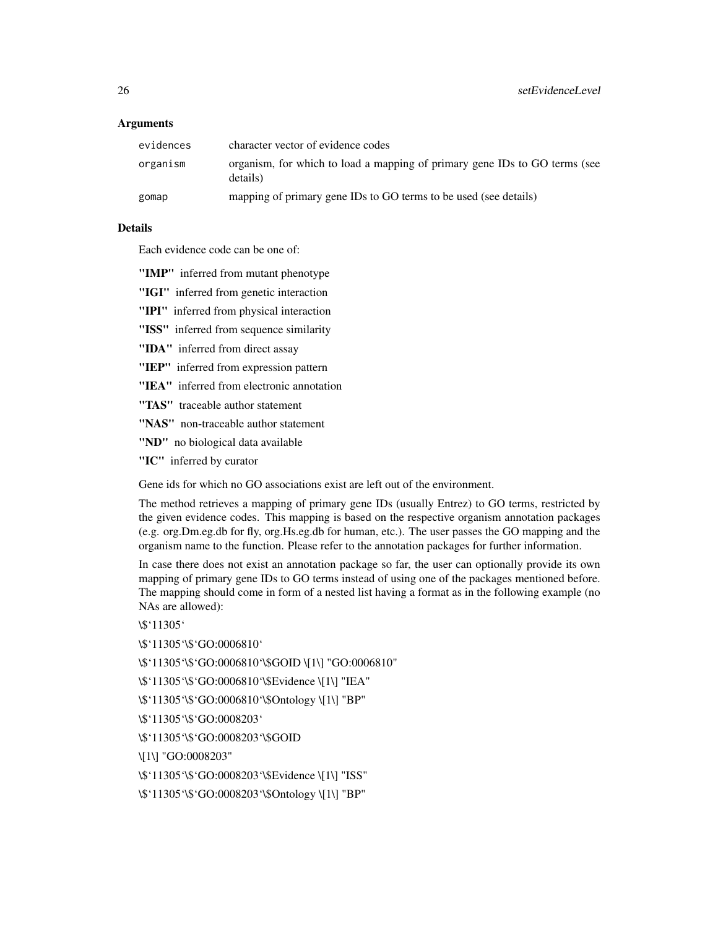# **Arguments**

| evidences | character vector of evidence codes                                                     |
|-----------|----------------------------------------------------------------------------------------|
| organism  | organism, for which to load a mapping of primary gene IDs to GO terms (see<br>details) |
| gomap     | mapping of primary gene IDs to GO terms to be used (see details)                       |

# Details

Each evidence code can be one of:

- "IMP" inferred from mutant phenotype
- "IGI" inferred from genetic interaction
- "IPI" inferred from physical interaction
- "ISS" inferred from sequence similarity
- "IDA" inferred from direct assay
- "IEP" inferred from expression pattern
- "IEA" inferred from electronic annotation
- "TAS" traceable author statement
- "NAS" non-traceable author statement
- "ND" no biological data available
- "IC" inferred by curator

Gene ids for which no GO associations exist are left out of the environment.

The method retrieves a mapping of primary gene IDs (usually Entrez) to GO terms, restricted by the given evidence codes. This mapping is based on the respective organism annotation packages (e.g. org.Dm.eg.db for fly, org.Hs.eg.db for human, etc.). The user passes the GO mapping and the organism name to the function. Please refer to the annotation packages for further information.

In case there does not exist an annotation package so far, the user can optionally provide its own mapping of primary gene IDs to GO terms instead of using one of the packages mentioned before. The mapping should come in form of a nested list having a format as in the following example (no NAs are allowed):

\\$'11305'

\\$'11305'\\$'GO:0006810'

\\$'11305'\\$'GO:0006810'\\$GOID \[1\] "GO:0006810"

\\$'11305'\\$'GO:0006810'\\$Evidence \[1\] "IEA"

\\$'11305'\\$'GO:0006810'\\$Ontology \[1\] "BP"

\\$'11305'\\$'GO:0008203'

\\$'11305'\\$'GO:0008203'\\$GOID

\[1\] "GO:0008203"

\\$'11305'\\$'GO:0008203'\\$Evidence \[1\] "ISS"

\\$'11305'\\$'GO:0008203'\\$Ontology \[1\] "BP"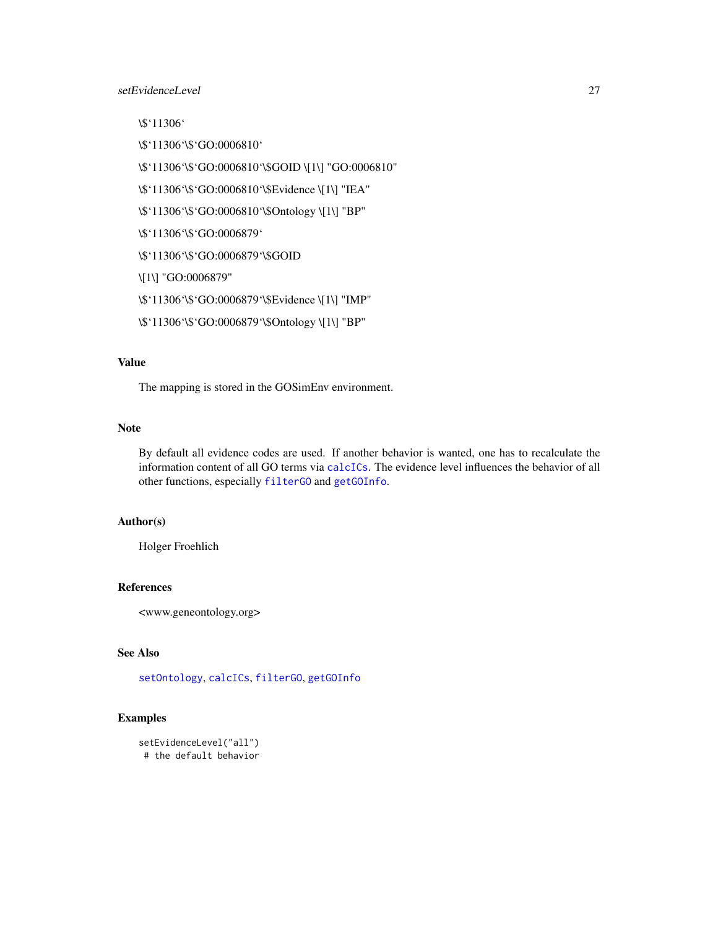# <span id="page-26-0"></span>setEvidenceLevel 27

\\$'11306'

\\$'11306'\\$'GO:0006810'

\\$'11306'\\$'GO:0006810'\\$GOID \[1\] "GO:0006810"

\\$'11306'\\$'GO:0006810'\\$Evidence \[1\] "IEA"

\\$'11306'\\$'GO:0006810'\\$Ontology \[1\] "BP"

\\$'11306'\\$'GO:0006879'

\\$'11306'\\$'GO:0006879'\\$GOID

\[1\] "GO:0006879"

\\$'11306'\\$'GO:0006879'\\$Evidence \[1\] "IMP"

\\$'11306'\\$'GO:0006879'\\$Ontology \[1\] "BP"

# Value

The mapping is stored in the GOSimEnv environment.

# Note

By default all evidence codes are used. If another behavior is wanted, one has to recalculate the information content of all GO terms via [calcICs](#page-2-1). The evidence level influences the behavior of all other functions, especially [filterGO](#page-4-1) and [getGOInfo](#page-14-1).

# Author(s)

Holger Froehlich

# References

<www.geneontology.org>

# See Also

[setOntology](#page-27-1), [calcICs](#page-2-1), [filterGO](#page-4-1), [getGOInfo](#page-14-1)

# Examples

```
setEvidenceLevel("all")
# the default behavior
```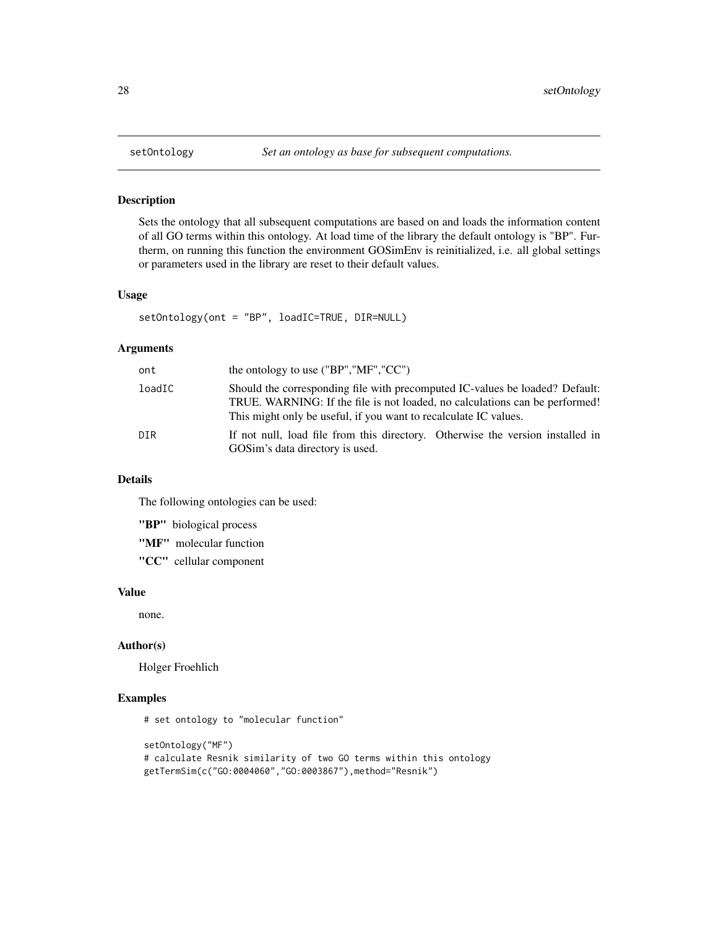# Description

Sets the ontology that all subsequent computations are based on and loads the information content of all GO terms within this ontology. At load time of the library the default ontology is "BP". Furtherm, on running this function the environment GOSimEnv is reinitialized, i.e. all global settings or parameters used in the library are reset to their default values.

#### Usage

setOntology(ont = "BP", loadIC=TRUE, DIR=NULL)

# Arguments

| ont    | the ontology to use $("BP", "MF", "CC")$                                                                                                                                                                                        |
|--------|---------------------------------------------------------------------------------------------------------------------------------------------------------------------------------------------------------------------------------|
| loadIC | Should the corresponding file with precomputed IC-values be loaded? Default:<br>TRUE. WARNING: If the file is not loaded, no calculations can be performed!<br>This might only be useful, if you want to recalculate IC values. |
| DIR    | If not null, load file from this directory. Otherwise the version installed in<br>GOSim's data directory is used.                                                                                                               |

# Details

The following ontologies can be used:

"BP" biological process

"MF" molecular function

"CC" cellular component

# Value

none.

# Author(s)

Holger Froehlich

# Examples

# set ontology to "molecular function"

```
setOntology("MF")
# calculate Resnik similarity of two GO terms within this ontology
getTermSim(c("GO:0004060","GO:0003867"),method="Resnik")
```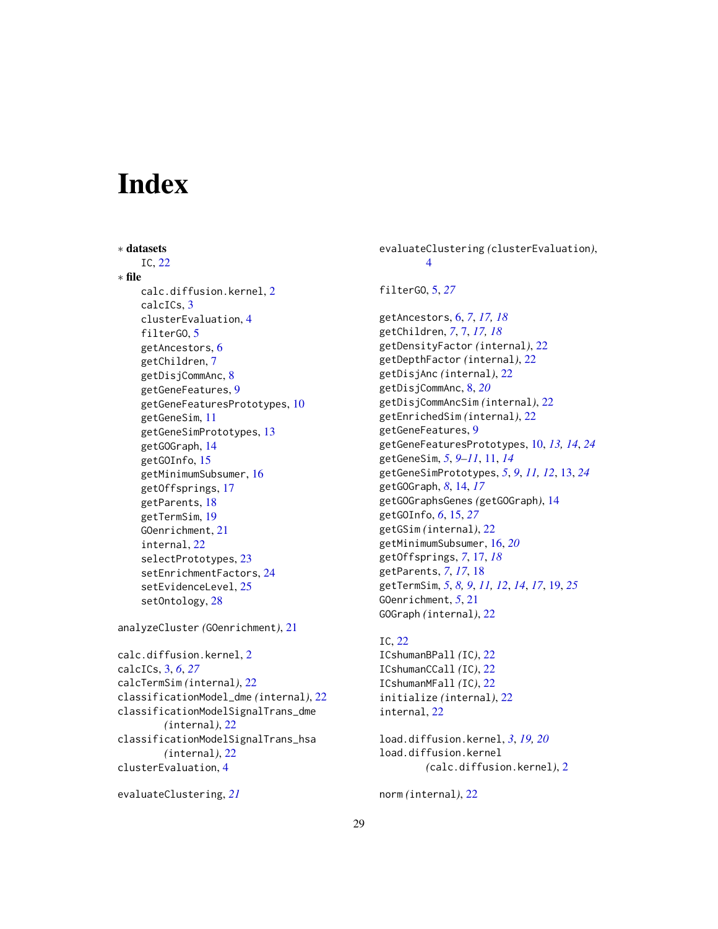# <span id="page-28-0"></span>**Index**

∗ datasets IC, [22](#page-21-0) ∗ file calc.diffusion.kernel, [2](#page-1-0) calcICs, [3](#page-2-0) clusterEvaluation, [4](#page-3-0) filterGO, [5](#page-4-0) getAncestors, [6](#page-5-0) getChildren, [7](#page-6-0) getDisjCommAnc, [8](#page-7-0) getGeneFeatures, [9](#page-8-0) getGeneFeaturesPrototypes, [10](#page-9-0) getGeneSim, [11](#page-10-0) getGeneSimPrototypes, [13](#page-12-0) getGOGraph, [14](#page-13-0) getGOInfo, [15](#page-14-0) getMinimumSubsumer, [16](#page-15-0) getOffsprings, [17](#page-16-0) getParents, [18](#page-17-0) getTermSim, [19](#page-18-0) GOenrichment, [21](#page-20-0) internal, [22](#page-21-0) selectPrototypes, [23](#page-22-0) setEnrichmentFactors, [24](#page-23-0) setEvidenceLevel, [25](#page-24-0) setOntology, [28](#page-27-0)

analyzeCluster *(*GOenrichment*)*, [21](#page-20-0)

calc.diffusion.kernel, [2](#page-1-0) calcICs, [3,](#page-2-0) *[6](#page-5-0)*, *[27](#page-26-0)* calcTermSim *(*internal*)*, [22](#page-21-0) classificationModel\_dme *(*internal*)*, [22](#page-21-0) classificationModelSignalTrans\_dme *(*internal*)*, [22](#page-21-0) classificationModelSignalTrans\_hsa *(*internal*)*, [22](#page-21-0) clusterEvaluation, [4](#page-3-0)

```
evaluateClustering, 21
```
evaluateClustering *(*clusterEvaluation*)*, [4](#page-3-0) filterGO, [5,](#page-4-0) *[27](#page-26-0)* getAncestors, [6,](#page-5-0) *[7](#page-6-0)*, *[17,](#page-16-0) [18](#page-17-0)* getChildren, *[7](#page-6-0)*, [7,](#page-6-0) *[17,](#page-16-0) [18](#page-17-0)* getDensityFactor *(*internal*)*, [22](#page-21-0) getDepthFactor *(*internal*)*, [22](#page-21-0) getDisjAnc *(*internal*)*, [22](#page-21-0) getDisjCommAnc, [8,](#page-7-0) *[20](#page-19-0)*

getDisjCommAncSim *(*internal*)*, [22](#page-21-0) getEnrichedSim *(*internal*)*, [22](#page-21-0) getGeneFeatures, [9](#page-8-0) getGeneFeaturesPrototypes, [10,](#page-9-0) *[13,](#page-12-0) [14](#page-13-0)*, *[24](#page-23-0)* getGeneSim, *[5](#page-4-0)*, *[9](#page-8-0)[–11](#page-10-0)*, [11,](#page-10-0) *[14](#page-13-0)* getGeneSimPrototypes, *[5](#page-4-0)*, *[9](#page-8-0)*, *[11,](#page-10-0) [12](#page-11-0)*, [13,](#page-12-0) *[24](#page-23-0)* getGOGraph, *[8](#page-7-0)*, [14,](#page-13-0) *[17](#page-16-0)* getGOGraphsGenes *(*getGOGraph*)*, [14](#page-13-0) getGOInfo, *[6](#page-5-0)*, [15,](#page-14-0) *[27](#page-26-0)* getGSim *(*internal*)*, [22](#page-21-0) getMinimumSubsumer, [16,](#page-15-0) *[20](#page-19-0)* getOffsprings, *[7](#page-6-0)*, [17,](#page-16-0) *[18](#page-17-0)* getParents, *[7](#page-6-0)*, *[17](#page-16-0)*, [18](#page-17-0) getTermSim, *[5](#page-4-0)*, *[8,](#page-7-0) [9](#page-8-0)*, *[11,](#page-10-0) [12](#page-11-0)*, *[14](#page-13-0)*, *[17](#page-16-0)*, [19,](#page-18-0) *[25](#page-24-0)* GOenrichment, *[5](#page-4-0)*, [21](#page-20-0) GOGraph *(*internal*)*, [22](#page-21-0)

IC, [22](#page-21-0) ICshumanBPall *(*IC*)*, [22](#page-21-0) ICshumanCCall *(*IC*)*, [22](#page-21-0) ICshumanMFall *(*IC*)*, [22](#page-21-0) initialize *(*internal*)*, [22](#page-21-0) internal, [22](#page-21-0)

```
load.diffusion.kernel, 3, 19, 20
load.diffusion.kernel
        (calc.diffusion.kernel), 2
```
norm *(*internal*)*, [22](#page-21-0)